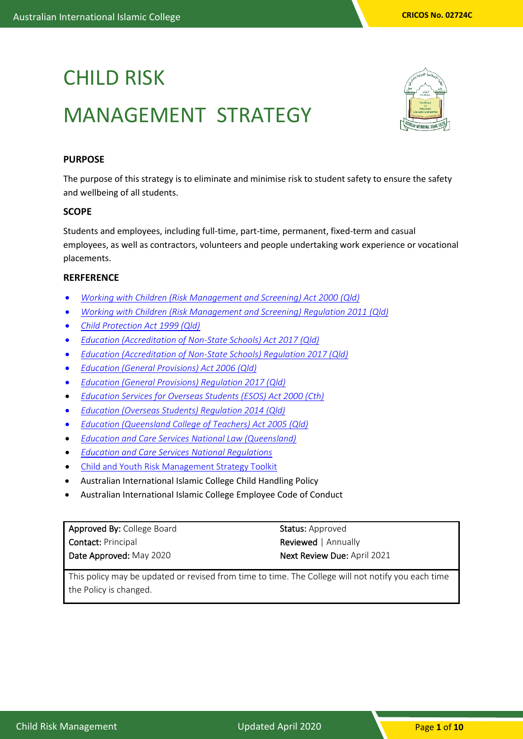# CHILD RISK MANAGEMENT STRATEGY



# **PURPOSE**

The purpose of this strategy is to eliminate and minimise risk to student safety to ensure the safety and wellbeing of all students.

#### **SCOPE**

Students and employees, including full-time, part-time, permanent, fixed-term and casual employees, as well as contractors, volunteers and people undertaking work experience or vocational placements.

#### **RERFERENCE**

- *[Working with Children \(Risk Management and Screening\) Act 2000](https://www.google.com.au/url?sa=t&rct=j&q=&esrc=s&source=web&cd=1&cad=rja&uact=8&ved=0ahUKEwjszrOpmcrYAhUBHZQKHS_qCvwQFggnMAA&url=https%3A%2F%2Fwww.legislation.qld.gov.au%2Fview%2Fpdf%2F2017-06-05%2Fact-2000-060&usg=AOvVaw38v1wgUo90I0js1jq3uYvj) (Qld)*
- *[Working with Children \(Risk Management and Screening\) Regulation 2011](https://www.legislation.qld.gov.au/view/html/inforce/current/sl-2011-0148) (Qld)*
- *[Child Protection Act 1999 \(Qld\)](https://www.legislation.qld.gov.au/view/html/inforce/current/act-1999-010)*
- *[Education \(Accreditation of Non-State Schools\) Act 2017 \(Qld\)](https://www.google.com.au/url?sa=t&rct=j&q=&esrc=s&source=web&cd=1&cad=rja&uact=8&ved=0ahUKEwi47bXpmcrYAhXEp5QKHQR6Bi8QFggnMAA&url=https%3A%2F%2Fwww.legislation.qld.gov.au%2Fview%2Fpdf%2Fasmade%2Fact-2017-024&usg=AOvVaw0KW8C_9DXUF81f7MwoEiTX)*
- *[Education \(Accreditation of Non-State Schools\) Regulation 2017 \(Qld\)](https://www.google.com.au/url?sa=t&rct=j&q=&esrc=s&source=web&cd=1&cad=rja&uact=8&ved=0ahUKEwiSyv79mcrYAhWEnJQKHXR1AGgQFggnMAA&url=https%3A%2F%2Fwww.legislation.qld.gov.au%2Fview%2Fpdf%2Fasmade%2Fsl-2017-0197&usg=AOvVaw2mhxfIP-MfPNiegtKSKlUQ)*
- *[Education \(General Provisions\) Act 2006 \(Qld\)](https://www.legislation.qld.gov.au/view/pdf/2016-03-24/sl-2006-0246)*
- *[Education \(General Provisions\) Regulation 2017 \(Qld\)](https://www.google.com.au/url?sa=t&rct=j&q=&esrc=s&source=web&cd=1&cad=rja&uact=8&ved=0ahUKEwjpr-uumsrYAhUHtpQKHarDBDUQFggnMAA&url=https%3A%2F%2Fwww.legislation.qld.gov.au%2Fview%2Fpdf%2F2016-03-24%2Fsl-2006-0246&usg=AOvVaw2-DbKQ2pzprk9sjOlT8PoU)*
- *[Education Services for Overseas Students \(ESOS\) Act 2000 \(Cth\)](http://www.comlaw.gov.au/Series/C2004A00757)*
- *[Education \(Overseas Students\) Regulation 2014 \(Qld\)](https://www.google.com.au/url?sa=t&rct=j&q=&esrc=s&source=web&cd=1&cad=rja&uact=8&ved=0ahUKEwixz8_XmsrYAhUIk5QKHUaMBBoQFggnMAA&url=https%3A%2F%2Fwww.legislation.qld.gov.au%2Fview%2Fpdf%2F2014-01-01%2Fsl-1998-0322&usg=AOvVaw08arwlEGLReXHJTHDfDq2o)*
- *[Education \(Queensland College of Teachers\) Act 2005 \(Qld\)](https://www.google.com.au/url?sa=t&rct=j&q=&esrc=s&source=web&cd=1&cad=rja&uact=8&ved=0ahUKEwiIxePwmsrYAhUCH5QKHRN1AYAQFggnMAA&url=https%3A%2F%2Fwww.legislation.qld.gov.au%2Fview%2Fpdf%2Finforce%2Fcurrent%2Fact-2005-047&usg=AOvVaw1fWuPSryOjdPyeWUjHeAY3)*
- *[Education and Care Services National Law \(Queensland\)](https://www.legislation.qld.gov.au/view/pdf/2017-10-01/act-2013-ecsnlq)*
- *[Education and Care Services National Regulations](https://www.legislation.nsw.gov.au/#/view/regulation/2011/653)*
- [Child and Youth Risk Management Strategy Toolkit](https://www.bluecard.qld.gov.au/pdf/rmst/201610-Child-and-youth-risk-management-strategy-toolkit.pdf)
- Australian International Islamic College Child Handling Policy
- Australian International Islamic College Employee Code of Conduct

| Approved By: College Board | <b>Status:</b> Approved            |
|----------------------------|------------------------------------|
| <b>Contact: Principal</b>  | <b>Reviewed</b>   Annually         |
| Date Approved: May 2020    | <b>Next Review Due: April 2021</b> |

This policy may be updated or revised from time to time. The College will not notify you each time the Policy is changed.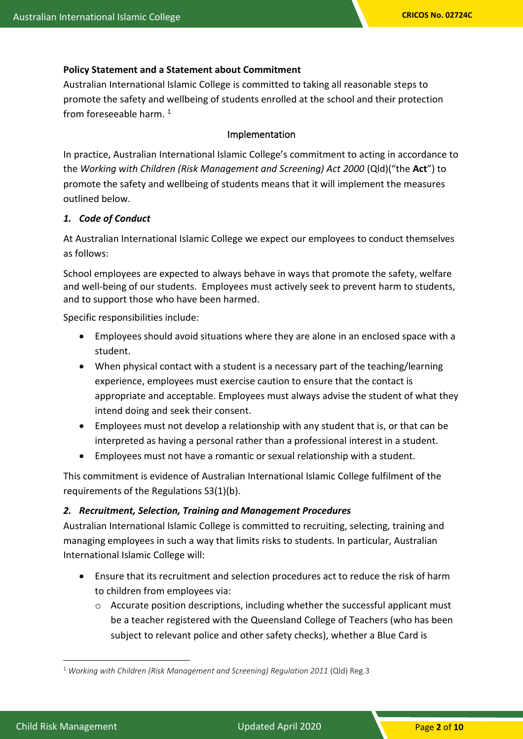#### **Policy Statement and a Statement about Commitment**

Australian International Islamic College is committed to taking all reasonable steps to promote the safety and wellbeing of students enrolled at the school and their protection from foreseeable harm.<sup>1</sup>

#### Implementation

In practice, Australian International Islamic College's commitment to acting in accordance to the *Working with Children (Risk Management and Screening) Act 2000* (Qld)("the **Act**") to promote the safety and wellbeing of students means that it will implement the measures outlined below.

#### *1. Code of Conduct*

At Australian International Islamic College we expect our employees to conduct themselves as follows:

School employees are expected to always behave in ways that promote the safety, welfare and well-being of our students. Employees must actively seek to prevent harm to students, and to support those who have been harmed.

Specific responsibilities include:

- Employees should avoid situations where they are alone in an enclosed space with a student.
- When physical contact with a student is a necessary part of the teaching/learning experience, employees must exercise caution to ensure that the contact is appropriate and acceptable. Employees must always advise the student of what they intend doing and seek their consent.
- Employees must not develop a relationship with any student that is, or that can be interpreted as having a personal rather than a professional interest in a student.
- Employees must not have a romantic or sexual relationship with a student.

This commitment is evidence of Australian International Islamic College fulfilment of the requirements of the Regulations S3(1)(b).

#### *2. Recruitment, Selection, Training and Management Procedures*

Australian International Islamic College is committed to recruiting, selecting, training and managing employees in such a way that limits risks to students. In particular, Australian International Islamic College will:

- Ensure that its recruitment and selection procedures act to reduce the risk of harm to children from employees via:
	- $\circ$  Accurate position descriptions, including whether the successful applicant must be a teacher registered with the Queensland College of Teachers (who has been subject to relevant police and other safety checks), whether a Blue Card is

<sup>1</sup> *Working with Children (Risk Management and Screening) Regulation 2011* (Qld) Reg.3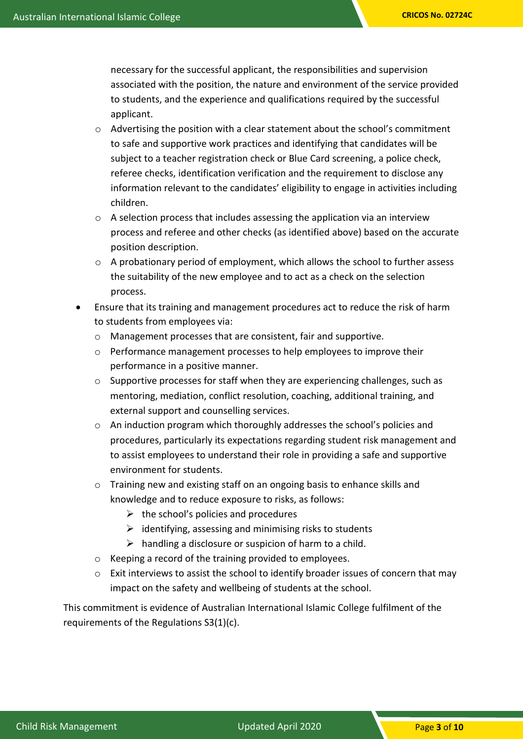necessary for the successful applicant, the responsibilities and supervision associated with the position, the nature and environment of the service provided to students, and the experience and qualifications required by the successful applicant.

- o Advertising the position with a clear statement about the school's commitment to safe and supportive work practices and identifying that candidates will be subject to a teacher registration check or Blue Card screening, a police check, referee checks, identification verification and the requirement to disclose any information relevant to the candidates' eligibility to engage in activities including children.
- o A selection process that includes assessing the application via an interview process and referee and other checks (as identified above) based on the accurate position description.
- $\circ$  A probationary period of employment, which allows the school to further assess the suitability of the new employee and to act as a check on the selection process.
- Ensure that its training and management procedures act to reduce the risk of harm to students from employees via:
	- o Management processes that are consistent, fair and supportive.
	- $\circ$  Performance management processes to help employees to improve their performance in a positive manner.
	- $\circ$  Supportive processes for staff when they are experiencing challenges, such as mentoring, mediation, conflict resolution, coaching, additional training, and external support and counselling services.
	- o An induction program which thoroughly addresses the school's policies and procedures, particularly its expectations regarding student risk management and to assist employees to understand their role in providing a safe and supportive environment for students.
	- o Training new and existing staff on an ongoing basis to enhance skills and knowledge and to reduce exposure to risks, as follows:
		- $\triangleright$  the school's policies and procedures
		- $\triangleright$  identifying, assessing and minimising risks to students
		- $\triangleright$  handling a disclosure or suspicion of harm to a child.
	- o Keeping a record of the training provided to employees.
	- $\circ$  Exit interviews to assist the school to identify broader issues of concern that may impact on the safety and wellbeing of students at the school.

This commitment is evidence of Australian International Islamic College fulfilment of the requirements of the Regulations S3(1)(c).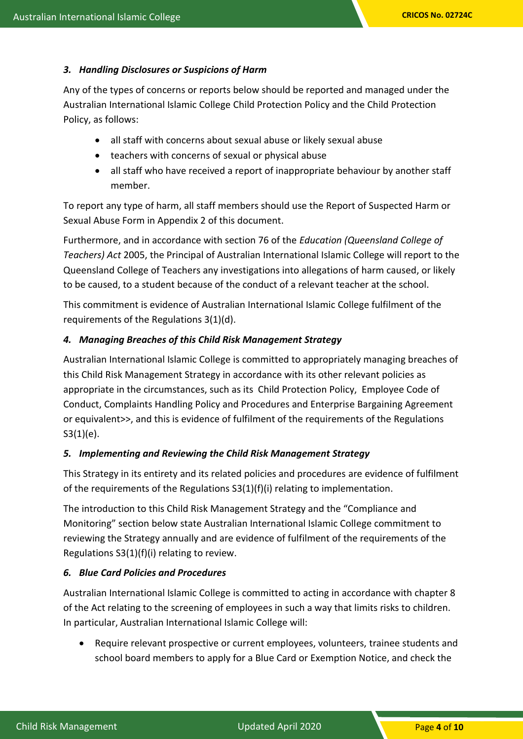#### *3. Handling Disclosures or Suspicions of Harm*

Any of the types of concerns or reports below should be reported and managed under the Australian International Islamic College Child Protection Policy and the Child Protection Policy, as follows:

- all staff with concerns about sexual abuse or likely sexual abuse
- teachers with concerns of sexual or physical abuse
- all staff who have received a report of inappropriate behaviour by another staff member.

To report any type of harm, all staff members should use the Report of Suspected Harm or Sexual Abuse Form in Appendix 2 of this document.

Furthermore, and in accordance with section 76 of the *Education (Queensland College of Teachers) Act* 2005, the Principal of Australian International Islamic College will report to the Queensland College of Teachers any investigations into allegations of harm caused, or likely to be caused, to a student because of the conduct of a relevant teacher at the school.

This commitment is evidence of Australian International Islamic College fulfilment of the requirements of the Regulations 3(1)(d).

#### *4. Managing Breaches of this Child Risk Management Strategy*

Australian International Islamic College is committed to appropriately managing breaches of this Child Risk Management Strategy in accordance with its other relevant policies as appropriate in the circumstances, such as its Child Protection Policy, Employee Code of Conduct, Complaints Handling Policy and Procedures and Enterprise Bargaining Agreement or equivalent>>, and this is evidence of fulfilment of the requirements of the Regulations  $S3(1)(e)$ .

#### *5. Implementing and Reviewing the Child Risk Management Strategy*

This Strategy in its entirety and its related policies and procedures are evidence of fulfilment of the requirements of the Regulations  $S(1)(f)(i)$  relating to implementation.

The introduction to this Child Risk Management Strategy and the "Compliance and Monitoring" section below state Australian International Islamic College commitment to reviewing the Strategy annually and are evidence of fulfilment of the requirements of the Regulations S3(1)(f)(i) relating to review.

#### *6. Blue Card Policies and Procedures*

Australian International Islamic College is committed to acting in accordance with chapter 8 of the Act relating to the screening of employees in such a way that limits risks to children. In particular, Australian International Islamic College will:

• Require relevant prospective or current employees, volunteers, trainee students and school board members to apply for a Blue Card or Exemption Notice, and check the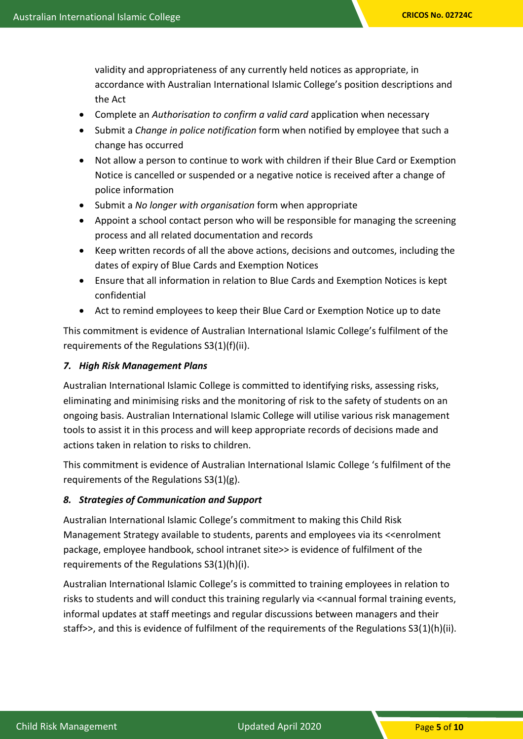validity and appropriateness of any currently held notices as appropriate, in accordance with Australian International Islamic College's position descriptions and the Act

- Complete an *Authorisation to confirm a valid card* application when necessary
- Submit a *Change in police notification* form when notified by employee that such a change has occurred
- Not allow a person to continue to work with children if their Blue Card or Exemption Notice is cancelled or suspended or a negative notice is received after a change of police information
- Submit a *No longer with organisation* form when appropriate
- Appoint a school contact person who will be responsible for managing the screening process and all related documentation and records
- Keep written records of all the above actions, decisions and outcomes, including the dates of expiry of Blue Cards and Exemption Notices
- Ensure that all information in relation to Blue Cards and Exemption Notices is kept confidential
- Act to remind employees to keep their Blue Card or Exemption Notice up to date

This commitment is evidence of Australian International Islamic College's fulfilment of the requirements of the Regulations S3(1)(f)(ii).

## *7. High Risk Management Plans*

Australian International Islamic College is committed to identifying risks, assessing risks, eliminating and minimising risks and the monitoring of risk to the safety of students on an ongoing basis. Australian International Islamic College will utilise various risk management tools to assist it in this process and will keep appropriate records of decisions made and actions taken in relation to risks to children.

This commitment is evidence of Australian International Islamic College 's fulfilment of the requirements of the Regulations S3(1)(g).

#### *8. Strategies of Communication and Support*

Australian International Islamic College's commitment to making this Child Risk Management Strategy available to students, parents and employees via its <<enrolment package, employee handbook, school intranet site>> is evidence of fulfilment of the requirements of the Regulations S3(1)(h)(i).

Australian International Islamic College's is committed to training employees in relation to risks to students and will conduct this training regularly via <<annual formal training events, informal updates at staff meetings and regular discussions between managers and their staff>>, and this is evidence of fulfilment of the requirements of the Regulations S3(1)(h)(ii).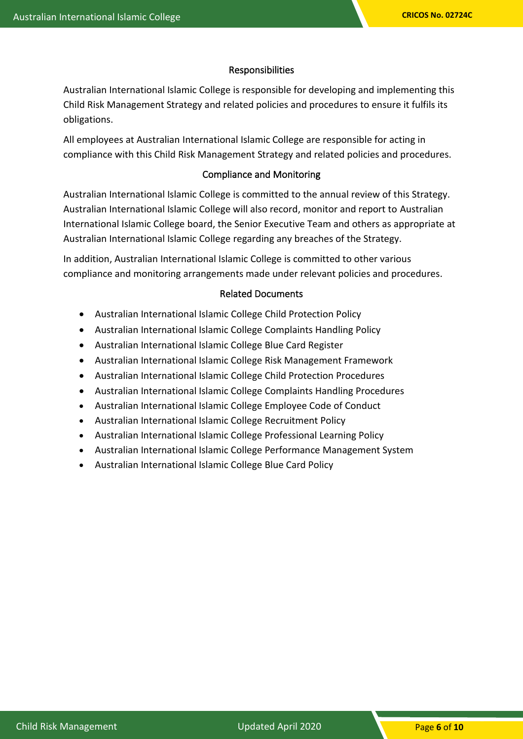#### Responsibilities

Australian International Islamic College is responsible for developing and implementing this Child Risk Management Strategy and related policies and procedures to ensure it fulfils its obligations.

All employees at Australian International Islamic College are responsible for acting in compliance with this Child Risk Management Strategy and related policies and procedures.

## Compliance and Monitoring

Australian International Islamic College is committed to the annual review of this Strategy. Australian International Islamic College will also record, monitor and report to Australian International Islamic College board, the Senior Executive Team and others as appropriate at Australian International Islamic College regarding any breaches of the Strategy.

In addition, Australian International Islamic College is committed to other various compliance and monitoring arrangements made under relevant policies and procedures.

#### Related Documents

- Australian International Islamic College Child Protection Policy
- Australian International Islamic College Complaints Handling Policy
- Australian International Islamic College Blue Card Register
- Australian International Islamic College Risk Management Framework
- Australian International Islamic College Child Protection Procedures
- Australian International Islamic College Complaints Handling Procedures
- Australian International Islamic College Employee Code of Conduct
- Australian International Islamic College Recruitment Policy
- Australian International Islamic College Professional Learning Policy
- Australian International Islamic College Performance Management System
- Australian International Islamic College Blue Card Policy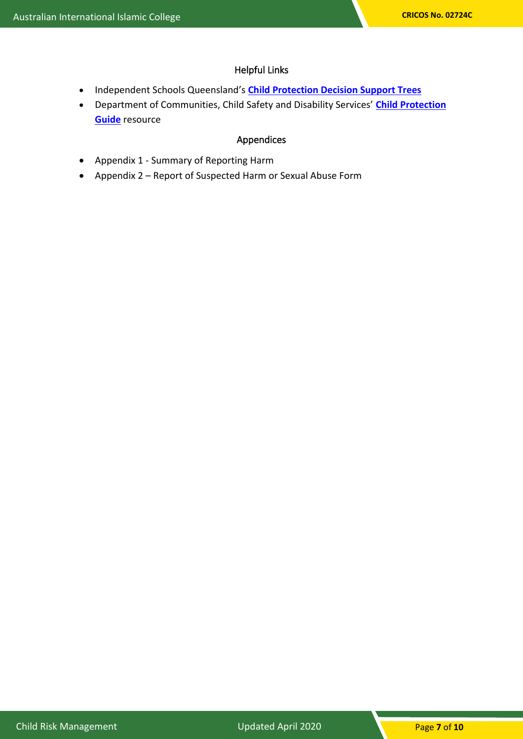# Helpful Links

- Independent Schools Queensland's **[Child Protection Decision Support Trees](https://www.isq.qld.edu.au/members/child-protection)**
- Department of Communities, Child Safety and Disability Services' **[Child Protection](http://www.communities.qld.gov.au/childsafety/partners/our-government-partners/queensland-child-protection-guide/online-child-protection-guide)  [Guide](http://www.communities.qld.gov.au/childsafety/partners/our-government-partners/queensland-child-protection-guide/online-child-protection-guide)** resource

# Appendices

- Appendix 1 Summary of Reporting Harm
- Appendix 2 Report of Suspected Harm or Sexual Abuse Form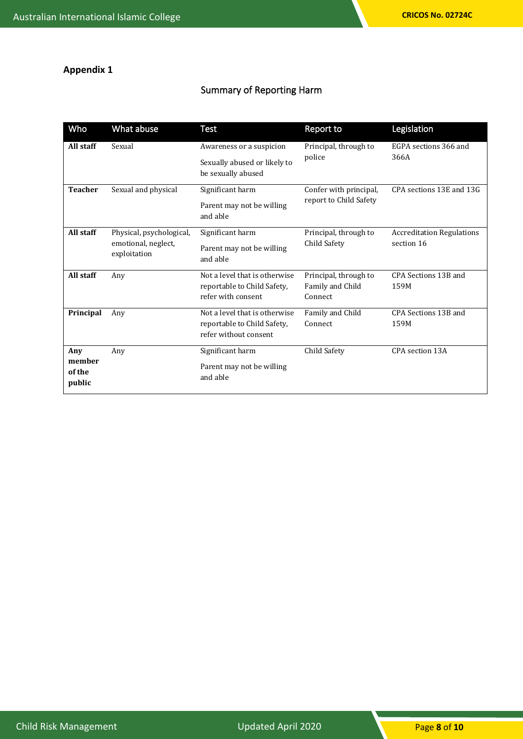# **Appendix 1**

# Summary of Reporting Harm

| Who                               | What abuse                                                      | <b>Test</b>                                                                           | <b>Report to</b>                                     | Legislation                                    |
|-----------------------------------|-----------------------------------------------------------------|---------------------------------------------------------------------------------------|------------------------------------------------------|------------------------------------------------|
| All staff                         | Sexual                                                          | Awareness or a suspicion<br>Sexually abused or likely to<br>be sexually abused        | Principal, through to<br>police                      | EGPA sections 366 and<br>366A                  |
| <b>Teacher</b>                    | Sexual and physical                                             | Significant harm<br>Parent may not be willing<br>and able                             | Confer with principal,<br>report to Child Safety     | CPA sections 13E and 13G                       |
| All staff                         | Physical, psychological,<br>emotional, neglect,<br>exploitation | Significant harm<br>Parent may not be willing<br>and able                             | Principal, through to<br>Child Safety                | <b>Accreditation Regulations</b><br>section 16 |
| All staff                         | Any                                                             | Not a level that is otherwise<br>reportable to Child Safety,<br>refer with consent    | Principal, through to<br>Family and Child<br>Connect | CPA Sections 13B and<br>159M                   |
| Principal                         | Any                                                             | Not a level that is otherwise<br>reportable to Child Safety,<br>refer without consent | Family and Child<br>Connect                          | CPA Sections 13B and<br>159M                   |
| Any<br>member<br>of the<br>public | Any                                                             | Significant harm<br>Parent may not be willing<br>and able                             | Child Safety                                         | CPA section 13A                                |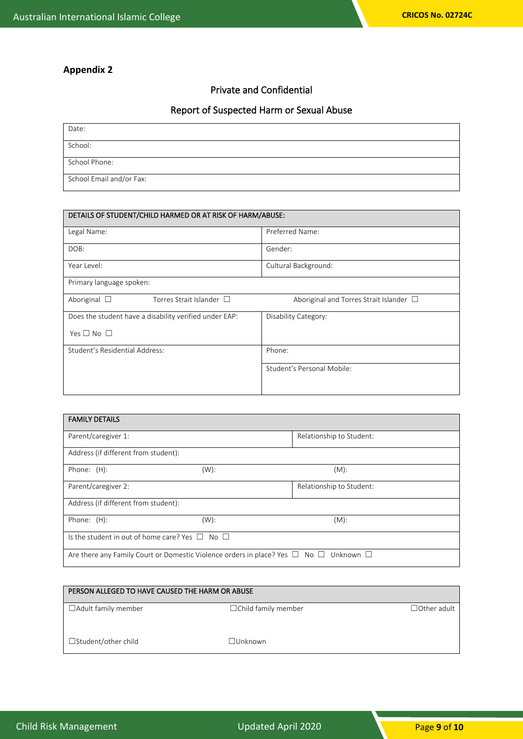# **Appendix 2**

#### Private and Confidential

# Report of Suspected Harm or Sexual Abuse

| Date:                    |  |
|--------------------------|--|
| School:                  |  |
| School Phone:            |  |
| School Email and/or Fax: |  |

| DETAILS OF STUDENT/CHILD HARMED OR AT RISK OF HARM/ABUSE: |                                              |
|-----------------------------------------------------------|----------------------------------------------|
| Legal Name:                                               | Preferred Name:                              |
| DOB:                                                      | Gender:                                      |
| Year Level:                                               | Cultural Background:                         |
| Primary language spoken:                                  |                                              |
| Aboriginal $\Box$<br>Torres Strait Islander $\Box$        | Aboriginal and Torres Strait Islander $\Box$ |
| Does the student have a disability verified under EAP:    | Disability Category:                         |
| Yes $\square$ No $\square$                                |                                              |
| Student's Residential Address:                            | Phone:                                       |
|                                                           | Student's Personal Mobile:                   |
|                                                           |                                              |

| <b>FAMILY DETAILS</b>                                                                                |         |                          |  |
|------------------------------------------------------------------------------------------------------|---------|--------------------------|--|
| Parent/caregiver 1:                                                                                  |         | Relationship to Student: |  |
| Address (if different from student):                                                                 |         |                          |  |
| Phone: (H):                                                                                          | (W):    | $(M)$ :                  |  |
| Parent/caregiver 2:                                                                                  |         | Relationship to Student: |  |
| Address (if different from student):                                                                 |         |                          |  |
| Phone: (H):                                                                                          | $(W)$ : | $(M)$ :                  |  |
| Is the student in out of home care? Yes $\Box$ No $\Box$                                             |         |                          |  |
| Are there any Family Court or Domestic Violence orders in place? Yes $\Box$ No $\Box$ Unknown $\Box$ |         |                          |  |

| PERSON ALLEGED TO HAVE CAUSED THE HARM OR ABUSE |                            |                    |
|-------------------------------------------------|----------------------------|--------------------|
| $\Box$ Adult family member                      | $\Box$ Child family member | $\Box$ Other adult |
| $\Box$ Student/other child                      | ∃Unknown                   |                    |